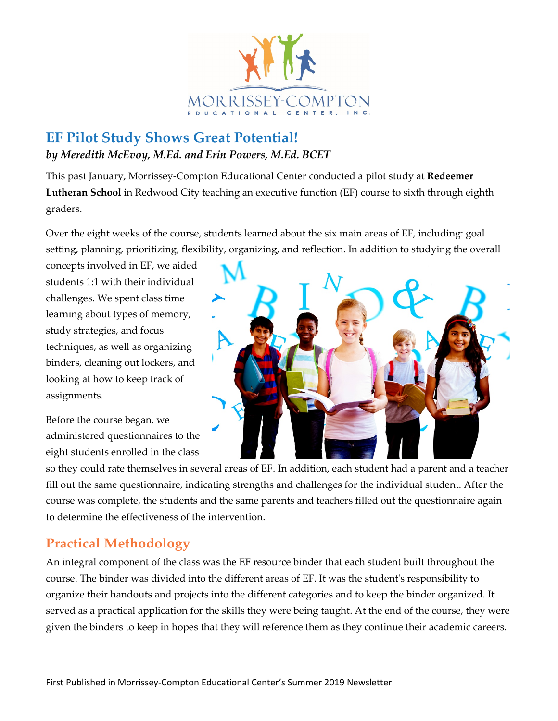

## **EF Pilot Study Shows Great Potential!** *by Meredith McEvoy, M.Ed. and Erin Powers, M.Ed. BCET*

This past January, Morrissey-Compton Educational Center conducted a pilot study at **Redeemer Lutheran School** in Redwood City teaching an executive function (EF) course to sixth through eighth graders.

Over the eight weeks of the course, students learned about the six main areas of EF, including: goal setting, planning, prioritizing, flexibility, organizing, and reflection. In addition to studying the overall

concepts involved in EF, we aided students 1:1 with their individual challenges. We spent class time learning about types of memory, study strategies, and focus techniques, as well as organizing binders, cleaning out lockers, and looking at how to keep track of assignments.

Before the course began, we administered questionnaires to the eight students enrolled in the class



so they could rate themselves in several areas of EF. In addition, each student had a parent and a teacher fill out the same questionnaire, indicating strengths and challenges for the individual student. After the course was complete, the students and the same parents and teachers filled out the questionnaire again to determine the effectiveness of the intervention.

## **Practical Methodology**

An integral component of the class was the EF resource binder that each student built throughout the course. The binder was divided into the different areas of EF. It was the student's responsibility to organize their handouts and projects into the different categories and to keep the binder organized. It served as a practical application for the skills they were being taught. At the end of the course, they were given the binders to keep in hopes that they will reference them as they continue their academic careers.